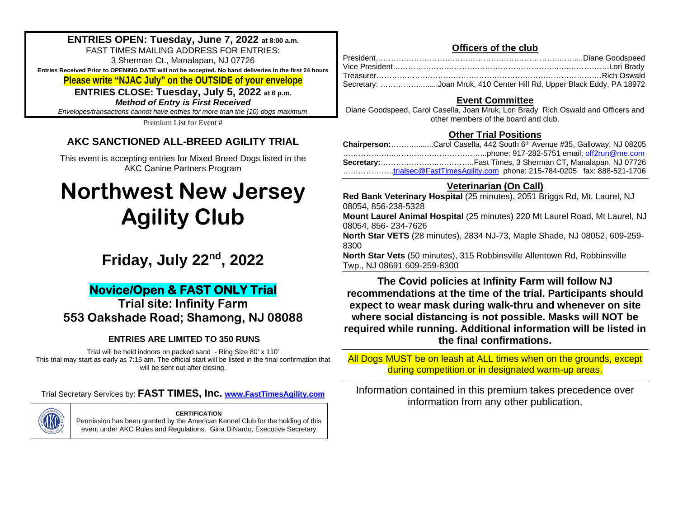## **ENTRIES OPEN: Tuesday, June 7, 2022 at 8:00 a.m.**

FAST TIMES MAILING ADDRESS FOR ENTRIES: 3 Sherman Ct., Manalapan, NJ 07726 **Entries Received Prior to OPENING DATE will not be accepted. No hand deliveries in the first 24 hours** 

## **Please write "NJAC July" on the OUTSIDE of your envelope**

**ENTRIES CLOSE: Tuesday, July 5, 2022 at 6 p.m.** *Method of Entry is First Received*

*Envelopes/transactions cannot have entries for more than the (10) dogs maximum*.

Premium List for Event #

## **AKC SANCTIONED ALL-BREED AGILITY TRIAL**

This event is accepting entries for Mixed Breed Dogs listed in the AKC Canine Partners Program

# **Northwest New Jersey Agility Club**

## **Friday, July 22nd, 2022**

## **Novice/Open & FAST ONLY Trial**

**Trial site: Infinity Farm 553 Oakshade Road; Shamong, NJ 08088**

## **ENTRIES ARE LIMITED TO 350 RUNS**

Trial will be held indoors on packed sand - Ring Size 80' x 110' This trial may start as early as 7:15 am. The official start will be listed in the final confirmation that will be sent out after closing.

Trial Secretary Services by: **FAST TIMES, Inc. [www.FastTimesAgility.com](about:blank)**



**CERTIFICATION** Permission has been granted by the American Kennel Club for the holding of this event under AKC Rules and Regulations. Gina DiNardo, Executive Secretary

## **Officers of the club**

| Secretary: Joan Mruk, 410 Center Hill Rd, Upper Black Eddy, PA 18972 |
|----------------------------------------------------------------------|

## **Event Committee**

Diane Goodspeed, Carol Casella, Joan Mruk, Lori Brady Rich Oswald and Officers and other members of the board and club.

## **Other Trial Positions**

| Chairperson:Carol Casella, 442 South 6th Avenue #35, Galloway, NJ 08205 |
|-------------------------------------------------------------------------|
|                                                                         |
|                                                                         |
| trialsec@FastTimesAgility.com_phone: 215-784-0205_fax: 888-521-1706     |

## **Veterinarian (On Call)**

**Red Bank Veterinary Hospital** (25 minutes), 2051 Briggs Rd, Mt. Laurel, NJ 08054, 856-238-5328 **Mount Laurel Animal Hospital** (25 minutes) 220 Mt Laurel Road, Mt Laurel, NJ 08054, 856- 234-7626 **North Star VETS** (28 minutes), 2834 NJ-73, Maple Shade, NJ 08052, 609-259- 8300 **North Star Vets** (50 minutes), 315 Robbinsville Allentown Rd, Robbinsville Twp., NJ 08691 609-259-8300

**The Covid policies at Infinity Farm will follow NJ recommendations at the time of the trial. Participants should expect to wear mask during walk-thru and whenever on site where social distancing is not possible. Masks will NOT be required while running. Additional information will be listed in the final confirmations.** 

All Dogs MUST be on leash at ALL times when on the grounds, except during competition or in designated warm-up areas.

Information contained in this premium takes precedence over information from any other publication.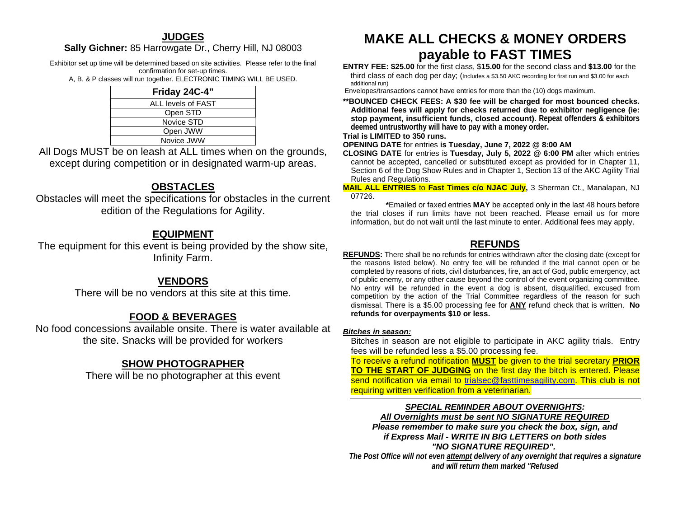## **JUDGES**

### **Sally Gichner:** 85 Harrowgate Dr., Cherry Hill, NJ 08003

Exhibitor set up time will be determined based on site activities. Please refer to the final confirmation for set-up times.

A, B, & P classes will run together. ELECTRONIC TIMING WILL BE USED.

| Friday 24C-4"      |  |
|--------------------|--|
| ALL levels of FAST |  |
| Open STD           |  |
| Novice STD         |  |
| Open JWW           |  |
| Novice JWW         |  |
|                    |  |

All Dogs MUST be on leash at ALL times when on the grounds, except during competition or in designated warm-up areas.

## **OBSTACLES**

Obstacles will meet the specifications for obstacles in the current edition of the Regulations for Agility.

## **EQUIPMENT**

The equipment for this event is being provided by the show site, Infinity Farm.

## **VENDORS**

There will be no vendors at this site at this time.

## **FOOD & BEVERAGES**

No food concessions available onsite. There is water available at the site. Snacks will be provided for workers

## **SHOW PHOTOGRAPHER**

There will be no photographer at this event

## **MAKE ALL CHECKS & MONEY ORDERS payable to FAST TIMES**

**ENTRY FEE: \$25.00** for the first class, \$**15.00** for the second class and **\$13.00** for the third class of each dog per day; (Includes a \$3.50 AKC recording for first run and \$3.00 for each additional run)

Envelopes/transactions cannot have entries for more than the (10) dogs maximum.

**\*\*BOUNCED CHECK FEES: A \$30 fee will be charged for most bounced checks. Additional fees will apply for checks returned due to exhibitor negligence (ie: stop payment, insufficient funds, closed account). Repeat offenders & exhibitors deemed untrustworthy will have to pay with a money order.** 

#### **Trial is LIMITED to 350 runs.**

**OPENING DATE** for entries **is Tuesday, June 7, 2022 @ 8:00 AM**

**CLOSING DATE** for entries is **Tuesday, July 5, 2022 @ 6:00 PM** after which entries cannot be accepted, cancelled or substituted except as provided for in Chapter 11, Section 6 of the Dog Show Rules and in Chapter 1, Section 13 of the AKC Agility Trial Rules and Regulations.

**MAIL ALL ENTRIES** to **Fast Times c/o NJAC July,** 3 Sherman Ct., Manalapan, NJ 07726.

 **\***Emailed or faxed entries **MAY** be accepted only in the last 48 hours before the trial closes if run limits have not been reached. Please email us for more information, but do not wait until the last minute to enter. Additional fees may apply.

## **REFUNDS**

**REFUNDS:** There shall be no refunds for entries withdrawn after the closing date (except for the reasons listed below). No entry fee will be refunded if the trial cannot open or be completed by reasons of riots, civil disturbances, fire, an act of God, public emergency, act of public enemy, or any other cause beyond the control of the event organizing committee. No entry will be refunded in the event a dog is absent, disqualified, excused from competition by the action of the Trial Committee regardless of the reason for such dismissal. There is a \$5.00 processing fee for **ANY** refund check that is written. **No refunds for overpayments \$10 or less.**

#### *Bitches in season:*

Bitches in season are not eligible to participate in AKC agility trials. Entry fees will be refunded less a \$5.00 processing fee.

To receive a refund notification **MUST** be given to the trial secretary **PRIOR TO THE START OF JUDGING** on the first day the bitch is entered. Please send notification via email to [trialsec@fasttimesagility.com.](about:blank) This club is not requiring written verification from a veterinarian.

### *SPECIAL REMINDER ABOUT OVERNIGHTS:*

*All Overnights must be sent NO SIGNATURE REQUIRED*

*Please remember to make sure you check the box, sign, and if Express Mail - WRITE IN BIG LETTERS on both sides "NO SIGNATURE REQUIRED".*

*The Post Office will not even attempt delivery of any overnight that requires a signature and will return them marked "Refused*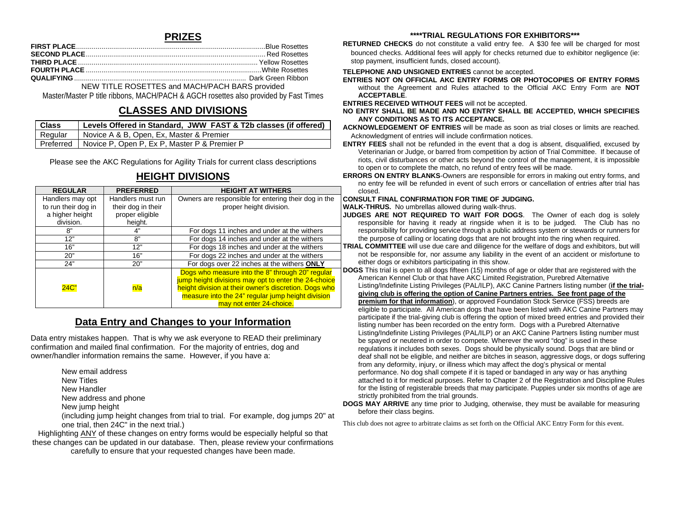### **PRIZES**

NEW TITLE ROSETTES and MACH/PACH BARS provided

Master/Master P title ribbons, MACH/PACH & AGCH rosettes also provided by Fast Times

## **CLASSES AND DIVISIONS**

| <b>Class</b> | Levels Offered in Standard, JWW FAST & T2b classes (if offered) |
|--------------|-----------------------------------------------------------------|
| Regular      | Novice A & B, Open, Ex, Master & Premier                        |
|              | l Preferred I Novice P. Open P. Ex P. Master P & Premier P      |

Please see the AKC Regulations for Agility Trials for current class descriptions

## **HEIGHT DIVISIONS**

| <b>REGULAR</b>      | <b>PREFERRED</b>   | <b>HEIGHT AT WITHERS</b>                              |
|---------------------|--------------------|-------------------------------------------------------|
| Handlers may opt    | Handlers must run  | Owners are responsible for entering their dog in the  |
| to run their dog in | their dog in their | proper height division.                               |
| a higher height     | proper eligible    |                                                       |
| division.           | height.            |                                                       |
| 8"                  | 4"                 | For dogs 11 inches and under at the withers           |
| 12"                 | 8"                 | For dogs 14 inches and under at the withers           |
| 16"                 | 12"                | For dogs 18 inches and under at the withers           |
| 20"                 | 16"                | For dogs 22 inches and under at the withers           |
| 24"                 | 20"                | For dogs over 22 inches at the withers ONLY           |
|                     |                    | Dogs who measure into the 8" through 20" regular      |
|                     |                    | jump height divisions may opt to enter the 24-choice  |
| 24C"                | n/a                | height division at their owner's discretion. Dogs who |
|                     |                    | measure into the 24" regular jump height division     |
|                     |                    | may not enter 24-choice.                              |

## **Data Entry and Changes to your Information**

Data entry mistakes happen. That is why we ask everyone to READ their preliminary confirmation and mailed final confirmation. For the majority of entries, dog and owner/handler information remains the same. However, if you have a:

New email address

New Titles

- New Handler
- New address and phone

New jump height

(including jump height changes from trial to trial. For example, dog jumps 20" at one trial, then 24C" in the next trial.)

Highlighting ANY of these changes on entry forms would be especially helpful so that these changes can be updated in our database. Then, please review your confirmations carefully to ensure that your requested changes have been made.

#### **\*\*\*\*TRIAL REGULATIONS FOR EXHIBITORS\*\*\***

**RETURNED CHECKS** do not constitute a valid entry fee. A \$30 fee will be charged for most bounced checks. Additional fees will apply for checks returned due to exhibitor negligence (ie: stop payment, insufficient funds, closed account).

#### **TELEPHONE AND UNSIGNED ENTRIES** cannot be accepted.

**ENTRIES NOT ON OFFICIAL AKC ENTRY FORMS OR PHOTOCOPIES OF ENTRY FORMS** without the Agreement and Rules attached to the Official AKC Entry Form are **NOT ACCEPTABLE**.

**ENTRIES RECEIVED WITHOUT FEES** will not be accepted.

**NO ENTRY SHALL BE MADE AND NO ENTRY SHALL BE ACCEPTED, WHICH SPECIFIES ANY CONDITIONS AS TO ITS ACCEPTANCE.**

**ACKNOWLEDGEMENT OF ENTRIES** will be made as soon as trial closes or limits are reached. Acknowledgment of entries will include confirmation notices.

**ENTRY FEES** shall not be refunded in the event that a dog is absent, disqualified, excused by Veterinarian or Judge, or barred from competition by action of Trial Committee. If because of riots, civil disturbances or other acts beyond the control of the management, it is impossible to open or to complete the match, no refund of entry fees will be made.

**ERRORS ON ENTRY BLANKS**-Owners are responsible for errors in making out entry forms, and no entry fee will be refunded in event of such errors or cancellation of entries after trial has closed.

#### **CONSULT FINAL CONFIRMATION FOR TIME OF JUDGING.**

**WALK-THRUS.** No umbrellas allowed during walk-thrus.

- **JUDGES ARE NOT REQUIRED TO WAIT FOR DOGS**. The Owner of each dog is solely responsible for having it ready at ringside when it is to be judged. The Club has no responsibility for providing service through a public address system or stewards or runners for the purpose of calling or locating dogs that are not brought into the ring when required.
- **TRIAL COMMITTEE** will use due care and diligence for the welfare of dogs and exhibitors, but will not be responsible for, nor assume any liability in the event of an accident or misfortune to either dogs or exhibitors participating in this show.

**DOGS** This trial is open to all dogs fifteen (15) months of age or older that are registered with the American Kennel Club or that have AKC Limited Registration, Purebred Alternative Listing/Indefinite Listing Privileges (PAL/ILP), AKC Canine Partners listing number (**if the trialgiving club is offering the option of Canine Partners entries. See front page of the premium for that information**), or approved Foundation Stock Service (FSS) breeds are eligible to participate*.* All American dogs that have been listed with AKC Canine Partners may participate if the trial-giving club is offering the option of mixed breed entries and provided their listing number has been recorded on the entry form. Dogs with a Purebred Alternative Listing/Indefinite Listing Privileges (PAL/ILP) or an AKC Canine Partners listing number must be spayed or neutered in order to compete. Wherever the word "dog" is used in these regulations it includes both sexes. Dogs should be physically sound. Dogs that are blind or deaf shall not be eligible, and neither are bitches in season, aggressive dogs, or dogs suffering from any deformity, injury, or illness which may affect the dog's physical or mental performance. No dog shall compete if it is taped or bandaged in any way or has anything attached to it for medical purposes. Refer to Chapter 2 of the Registration and Discipline Rules for the listing of registerable breeds that may participate. Puppies under six months of age are strictly prohibited from the trial grounds.

**DOGS MAY ARRIVE** any time prior to Judging, otherwise, they must be available for measuring before their class begins.

This club does not agree to arbitrate claims as set forth on the Official AKC Entry Form for this event.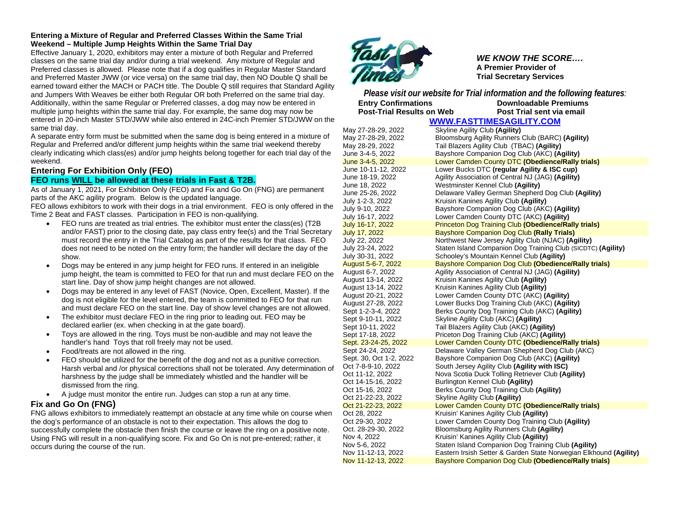#### **Entering a Mixture of Regular and Preferred Classes Within the Same Trial Weekend – Multiple Jump Heights Within the Same Trial Day**

Effective January 1, 2020, exhibitors may enter a mixture of both Regular and Preferred classes on the same trial day and/or during a trial weekend. Any mixture of Regular and Preferred classes is allowed. Please note that if a dog qualifies in Regular Master Standard and Preferred Master JWW (or vice versa) on the same trial day, then NO Double Q shall be earned toward either the MACH or PACH title. The Double Q still requires that Standard Agility and Jumpers With Weaves be either both Regular OR both Preferred on the same trial day. Additionally, within the same Regular or Preferred classes, a dog may now be entered in multiple jump heights within the same trial day. For example, the same dog may now be entered in 20-inch Master STD/JWW while also entered in 24C-inch Premier STD/JWW on the same trial day.

A separate entry form must be submitted when the same dog is being entered in a mixture of Regular and Preferred and/or different jump heights within the same trial weekend thereby clearly indicating which class(es) and/or jump heights belong together for each trial day of the weekend.

## **Entering For Exhibition Only (FEO)**

#### **FEO runs WILL be allowed at these trials in Fast & T2B.**

As of January 1, 2021, For Exhibition Only (FEO) and Fix and Go On (FNG) are permanent parts of the AKC agility program. Below is the updated language.

FEO allows exhibitors to work with their dogs in a trial environment. FEO is only offered in the Time 2 Beat and FAST classes. Participation in FEO is non-qualifying.

- FEO runs are treated as trial entries. The exhibitor must enter the class(es) (T2B and/or FAST) prior to the closing date, pay class entry fee(s) and the Trial Secretary must record the entry in the Trial Catalog as part of the results for that class. FEO does not need to be noted on the entry form; the handler will declare the day of the show.
- Dogs may be entered in any jump height for FEO runs. If entered in an ineligible jump height, the team is committed to FEO for that run and must declare FEO on the start line. Day of show jump height changes are not allowed.
- Dogs may be entered in any level of FAST (Novice, Open, Excellent, Master). If the dog is not eligible for the level entered, the team is committed to FEO for that run and must declare FEO on the start line. Day of show level changes are not allowed.
- The exhibitor must declare FEO in the ring prior to leading out. FEO may be declared earlier (ex. when checking in at the gate board).
- Toys are allowed in the ring. Toys must be non-audible and may not leave the handler's hand Toys that roll freely may not be used.
- Food/treats are not allowed in the ring.
- FEO should be utilized for the benefit of the dog and not as a punitive correction. Harsh verbal and /or physical corrections shall not be tolerated. Any determination of harshness by the judge shall be immediately whistled and the handler will be dismissed from the ring.
- A judge must monitor the entire run. Judges can stop a run at any time.

#### **Fix and Go On (FNG)**

FNG allows exhibitors to immediately reattempt an obstacle at any time while on course when the dog's performance of an obstacle is not to their expectation. This allows the dog to successfully complete the obstacle then finish the course or leave the ring on a positive note. Using FNG will result in a non-qualifying score. Fix and Go On is not pre-entered; rather, it occurs during the course of the run.



*WE KNOW THE SCORE….* **A Premier Provider of Trial Secretary Services**

*Please visit our website for Trial information and the following features:* **Entry Confirmations Downloadable Premiums Post-Trial Results on Web Post Trial sent via email [WWW.FASTTIMESAGILITY.COM](about:blank)**

May 27-28-29, 2022 Skyline Agility Club **(Agility)** Bloomsburg Agility Runners Club (BARC) (Agility) May 28-29, 2022 Tail Blazers Agility Club (TBAC) **(Agility)** June 3-4-5, 2022 Bayshore Companion Dog Club (AKC) **(Agility)** June 3-4-5, 2022 Lower Camden County DTC **(Obedience/Rally trials)** Lower Bucks DTC (regular Agility & **ISC cup)** June 18-19, 2022 Agility Association of Central NJ (JAG) **(Agility)** June 18, 2022 Westminster Kennel Club **(Agility)** June 25-26, 2022 Delaware Valley German Shepherd Dog Club **(Agility)** July 1-2-3, 2022 Kruisin Kanines Agility Club **(Agility)** July 9-10, 2022 Bayshore Companion Dog Club (AKC) **(Agility)** Lower Camden County DTC (AKC) (Agility) July 16-17, 2022 Princeton Dog Training Club **(Obedience/Rally trials)** July 17, 2022 Bayshore Companion Dog Club **(Rally Trials)** July 22, 2022 Northwest New Jersey Agility Club (NJAC) **(Agility)** Staten Island Companion Dog Training Club (SICDTC) (Agility) July 30-31, 2022 Schooley's Mountain Kennel Club **(Agility)** August 5-6-7, 2022 **Bayshore Companion Dog Club (Obedience/Rally trials)**<br>August 6-7, 2022 Agility Association of Central NJ (JAG) (Agility) August 6-7, 2022 Agility Association of Central NJ (JAG) **(Agility)** Kruisin Kanines Agility Club (Agility) August 13-14, 2022 Kruisin Kanines Agility Club **(Agility)** August 20-21, 2022 Lower Camden County DTC (AKC) **(Agility)** August 27-28, 2022 Lower Bucks Dog Training Club (AKC) **(Agility)** Berks County Dog Training Club (AKC) (Agility) Sept 9-10-11, 2022 Skyline Agility Club (AKC) **(Agility)** Sept 10-11, 2022 Tail Blazers Agility Club (AKC) **(Agility)** Sept 17-18, 2022 Priceton Dog Training Club (AKC) **(Agility) Lower Camden County DTC (Obedience/Rally trials)** Sept 24-24, 2022 Delaware Valley German Shepherd Dog Club (AKC) Sept. 30, Oct 1-2, 2022 Bayshore Companion Dog Club (AKC) **(Agility)** Oct 7-8-9-10, 2022 South Jersey Agility Club **(Agility with ISC)**  Nova Scotia Duck Tolling Retriever Club (Agility) Oct 14-15-16, 2022 Burlington Kennel Club **(Agility)** Oct 15-16, 2022 Berks County Dog Training Club **(Agility)** Oct 21-22-23, 2022 Skyline Agility Club **(Agility)**<br> **Oct 21-22-23, 2022 Lower Camden County DTC Lower Camden County DTC (Obedience/Rally trials)** Oct 28, 2022 Kruisin' Kanines Agility Club **(Agility)** Oct 29-30, 2022 Lower Camden County Dog Training Club **(Agility)** Oct. 28-29-30, 2022 Bloomsburg Agility Runners Club **(Agility)** Nov 4, 2022 Kruisin' Kanines Agility Club **(Agility)** Nov 5-6, 2022 Staten Island Companion Dog Training Club **(Agility)** Eastern Irsish Setter & Garden State Norwegian Elkhound (Agility) Nov 11-12-13, 2022 Bayshore Companion Dog Club **(Obedience/Rally trials)**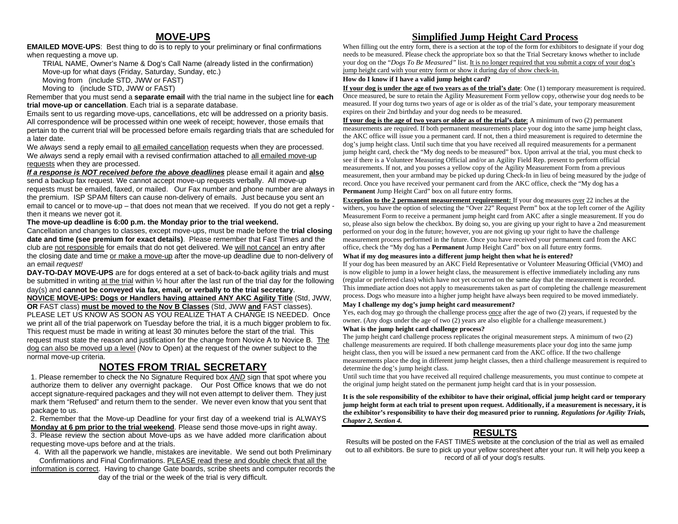## **MOVE-UPS**

**EMAILED MOVE-UPS**: Best thing to do is to reply to your preliminary or final confirmations when requesting a move up.

TRIAL NAME, Owner's Name & Dog's Call Name (already listed in the confirmation) Move-up for what days (Friday, Saturday, Sunday, etc.)

Moving from (include STD, JWW or FAST)

Moving to (include STD, JWW or FAST)

Remember that you must send a **separate email** with the trial name in the subject line for **each trial move-up or cancellation**. Each trial is a separate database.

Emails sent to us regarding move-ups, cancellations, etc will be addressed on a priority basis. All correspondence will be processed within one week of receipt; however, those emails that pertain to the current trial will be processed before emails regarding trials that are scheduled for a later date.

We *always* send a reply email to all emailed cancellation requests when they are processed. We *always* send a reply email with a revised confirmation attached to all emailed move-up requests when they are processed.

*If a response is NOT received before the above deadlines* please email it again and **also** send a backup fax request. We cannot accept move-up requests verbally. All move-up requests must be emailed, faxed, or mailed. Our Fax number and phone number are always in the premium. ISP SPAM filters can cause non-delivery of emails. Just because you sent an email to cancel or to move-up – that does not mean that we received. If you do not get a reply then it means we never got it.

#### **The move-up deadline is 6:00 p.m. the Monday prior to the trial weekend.**

Cancellation and changes to classes, except move-ups, must be made before the **trial closing date and time (see premium for exact details)**. Please remember that Fast Times and the club are not responsible for emails that do not get delivered. We will not cancel an entry after the closing date and time or make a move-up after the move-up deadline due to non-delivery of an email *request!*

**DAY-TO-DAY MOVE-UPS** are for dogs entered at a set of back-to-back agility trials and must be submitted in writing at the trial within ½ hour after the last run of the trial day for the following day(s) and **cannot be conveyed via fax, email, or verbally to the trial secretary**.

**NOVICE MOVE-UPS: Dogs or Handlers having attained ANY AKC Agility Title** (Std, JWW, **OR** FAST class) **must be moved to the Nov B Classes** (Std, JWW **and** FAST classes). PLEASE LET US KNOW AS SOON AS YOU REALIZE THAT A CHANGE IS NEEDED. Once we print all of the trial paperwork on Tuesday before the trial, it is a much bigger problem to fix. This request must be made in writing at least 30 minutes before the start of the trial. This request must state the reason and justification for the change from Novice A to Novice B. The dog can also be moved up a level (Nov to Open) at the request of the owner subject to the normal move-up criteria.

## **NOTES FROM TRIAL SECRETARY**

1. Please remember to check the No Signature Required box *AND* sign that spot where you authorize them to deliver any overnight package. Our Post Office knows that we do not accept signature-required packages and they will not even attempt to deliver them. They just mark them "Refused" and return them to the sender. We never even know that you sent that package to us.

2. Remember that the Move-up Deadline for your first day of a weekend trial is ALWAYS **Monday at 6 pm prior to the trial weekend**. Please send those move-ups in right away.

3. Please review the section about Move-ups as we have added more clarification about requesting move-ups before and at the trials.

4. With all the paperwork we handle, mistakes are inevitable. We send out both Preliminary Confirmations and Final Confirmations. PLEASE read these and double check that all the

information is correct. Having to change Gate boards, scribe sheets and computer records the day of the trial or the week of the trial is very difficult.

## **Simplified Jump Height Card Process**

When filling out the entry form, there is a section at the top of the form for exhibitors to designate if your dog needs to be measured. Please check the appropriate box so that the Trial Secretary knows whether to include your dog on the "*Dogs To Be Measured"* list. It is no longer required that you submit a copy of your dog's jump height card with your entry form or show it during day of show check-in.

#### **How do I know if I have a valid jump height card?**

**If your dog is under the age of two years as of the trial's date**: One (1) temporary measurement is required. Once measured, be sure to retain the Agility Measurement Form yellow copy, otherwise your dog needs to be measured. If your dog turns two years of age or is older as of the trial's date, your temporary measurement expires on their 2nd birthday and your dog needs to be measured.

**If your dog is the age of two years or older as of the trial's date**: A minimum of two (2) permanent measurements are required. If both permanent measurements place your dog into the same jump height class, the AKC office will issue you a permanent card. If not, then a third measurement is required to determine the dog's jump height class. Until such time that you have received all required measurements for a permanent jump height card, check the "My dog needs to be measured" box. Upon arrival at the trial, you must check to see if there is a Volunteer Measuring Official and/or an Agility Field Rep. present to perform official measurements. If not, and you posses a yellow copy of the Agility Measurement Form from a previous measurement, then your armband may be picked up during Check-In in lieu of being measured by the judge of record. Once you have received your permanent card from the AKC office, check the "My dog has a **Permanent** Jump Height Card" box on all future entry forms.

**Exception to the 2 permanent measurement requirement:** If your dog measures over 22 inches at the withers, you have the option of selecting the "Over 22" Request Perm" box at the top left corner of the Agility Measurement Form to receive a permanent jump height card from AKC after a single measurement. If you do so, please also sign below the checkbox. By doing so, you are giving up your right to have a 2nd measurement performed on your dog in the future; however, you are not giving up your right to have the challenge measurement process performed in the future. Once you have received your permanent card from the AKC office, check the "My dog has a **Permanent** Jump Height Card" box on all future entry forms.

#### **What if my dog measures into a different jump height then what he is entered?**

If your dog has been measured by an AKC Field Representative or Volunteer Measuring Official (VMO) and is now eligible to jump in a lower height class, the measurement is effective immediately including any runs (regular or preferred class) which have not yet occurred on the same day that the measurement is recorded. This immediate action does not apply to measurements taken as part of completing the challenge measurement process. Dogs who measure into a higher jump height have always been required to be moved immediately.

#### **May I challenge my dog's jump height card measurement?**

Yes, each dog may go through the challenge process once after the age of two (2) years, if requested by the owner. (Any dogs under the age of two (2) years are also eligible for a challenge measurement.)

#### **What is the jump height card challenge process?**

The jump height card challenge process replicates the original measurement steps. A minimum of two (2) challenge measurements are required. If both challenge measurements place your dog into the same jump height class, then you will be issued a new permanent card from the AKC office. If the two challenge measurements place the dog in different jump height classes, then a third challenge measurement is required to determine the dog's jump height class.

Until such time that you have received all required challenge measurements, you must continue to compete at the original jump height stated on the permanent jump height card that is in your possession.

**It is the sole responsibility of the exhibitor to have their original, official jump height card or temporary jump height form at each trial to present upon request. Additionally, if a measurement is necessary, it is the exhibitor's responsibility to have their dog measured prior to running.** *Regulations for Agility Trials, Chapter 2, Section 4.*

## **RESULTS**

Results will be posted on the FAST TIMES website at the conclusion of the trial as well as emailed out to all exhibitors. Be sure to pick up your yellow scoresheet after your run. It will help you keep a record of all of your dog's results.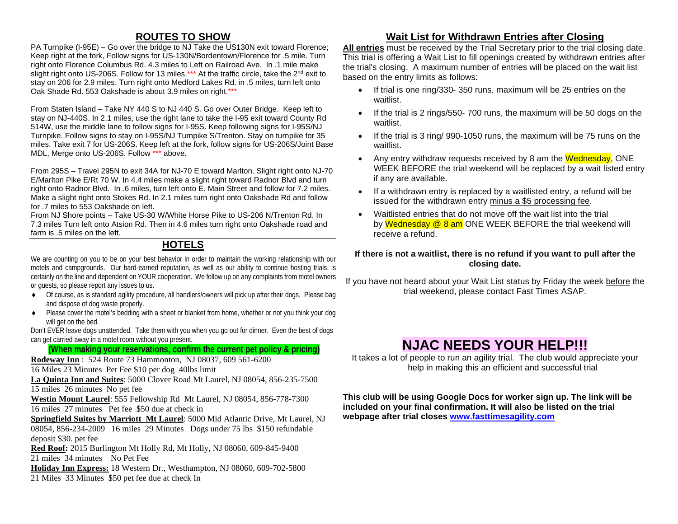## **ROUTES TO SHOW**

PA Turnpike (I-95E) – Go over the bridge to NJ Take the US130N exit toward Florence; Keep right at the fork, Follow signs for US-130N/Bordentown/Florence for .5 mile. Turn right onto Florence Columbus Rd. 4.3 miles to Left on Railroad Ave. In .1 mile make slight right onto US-206S. Follow for 13 miles.\*\*\* At the traffic circle, take the 2<sup>nd</sup> exit to stay on 206 for 2.9 miles. Turn right onto Medford Lakes Rd. in .5 miles, turn left onto Oak Shade Rd. 553 Oakshade is about 3.9 miles on right.\*\*\*

From Staten Island – Take NY 440 S to NJ 440 S. Go over Outer Bridge. Keep left to stay on NJ-440S. In 2.1 miles, use the right lane to take the I-95 exit toward County Rd 514W, use the middle lane to follow signs for I-95S. Keep following signs for I-95S/NJ Turnpike. Follow signs to stay on I-95S/NJ Turnpike S/Trenton. Stay on turnpike for 35 miles. Take exit 7 for US-206S. Keep left at the fork, follow signs for US-206S/Joint Base MDL, Merge onto US-206S. Follow \*\*\* above.

From 295S – Travel 295N to exit 34A for NJ-70 E toward Marlton. Slight right onto NJ-70 E/Marlton Pike E/Rt 70 W. In 4.4 miles make a slight right toward Radnor Blvd and turn right onto Radnor Blvd. In .6 miles, turn left onto E. Main Street and follow for 7.2 miles. Make a slight right onto Stokes Rd. In 2.1 miles turn right onto Oakshade Rd and follow for .7 miles to 553 Oakshade on left.

From NJ Shore points – Take US-30 W/White Horse Pike to US-206 N/Trenton Rd. In 7.3 miles Turn left onto Atsion Rd. Then in 4.6 miles turn right onto Oakshade road and farm is .5 miles on the left.

## **HOTELS**

We are counting on you to be on your best behavior in order to maintain the working relationship with our motels and campgrounds. Our hard-earned reputation, as well as our ability to continue hosting trials, is certainly on the line and dependent on YOUR cooperation. We follow up on any complaints from motel owners or guests, so please report any issues to us.

- ♦ Of course, as is standard agility procedure, all handlers/owners will pick up after their dogs. Please bag and dispose of dog waste properly.
- ♦ Please cover the motel's bedding with a sheet or blanket from home, whether or not you think your dog will get on the bed.

Don't EVER leave dogs unattended. Take them with you when you go out for dinner. Even the best of dogs can get carried away in a motel room without you present.

## **(When making your reservations, confirm the current pet policy & pricing)**

**Rodeway Inn** : 524 Route 73 Hammonton, NJ 08037, 609 561-6200 16 Miles 23 Minutes Pet Fee \$10 per dog 40lbs limit

**La Quinta Inn and Suites**: 5000 Clover Road Mt Laurel, NJ 08054, 856-235-7500 15 miles 26 minutes No pet fee

**Westin Mount Laurel**: 555 Fellowship Rd Mt Laurel, NJ 08054, 856-778-7300 16 miles 27 minutes Pet fee \$50 due at check in

**Springfield Suites by Marriott Mt Laurel**: 5000 Mid Atlantic Drive, Mt Laurel, NJ 08054, 856-234-2009 16 miles 29 Minutes Dogs under 75 lbs \$150 refundable deposit \$30. pet fee

**Red Roof:** 2015 Burlington Mt Holly Rd, Mt Holly, NJ 08060, 609-845-9400 21 miles 34 minutes No Pet Fee

**Holiday Inn Express:** 18 Western Dr., Westhampton, NJ 08060, 609-702-5800 21 Miles 33 Minutes \$50 pet fee due at check In

## **Wait List for Withdrawn Entries after Closing**

**All entries** must be received by the Trial Secretary prior to the trial closing date. This trial is offering a Wait List to fill openings created by withdrawn entries after the trial's closing. A maximum number of entries will be placed on the wait list based on the entry limits as follows:

- If trial is one ring/330- 350 runs, maximum will be 25 entries on the waitlist.
- If the trial is 2 rings/550- 700 runs, the maximum will be 50 dogs on the waitlist.
- If the trial is 3 ring/ 990-1050 runs, the maximum will be 75 runs on the waitlist.
- Any entry withdraw requests received by 8 am the Wednesday, ONE WEEK BEFORE the trial weekend will be replaced by a wait listed entry if any are available.
- If a withdrawn entry is replaced by a waitlisted entry, a refund will be issued for the withdrawn entry minus a \$5 processing fee.
- Waitlisted entries that do not move off the wait list into the trial by Wednesday @ 8 am ONE WEEK BEFORE the trial weekend will receive a refund.

### **If there is not a waitlist, there is no refund if you want to pull after the closing date.**

If you have not heard about your Wait List status by Friday the week before the trial weekend, please contact Fast Times ASAP.

## **NJAC NEEDS YOUR HELP!!!**

It takes a lot of people to run an agility trial. The club would appreciate your help in making this an efficient and successful trial

**This club will be using Google Docs for worker sign up. The link will be included on your final confirmation. It will also be listed on the trial webpage after trial closes [www.fasttimesagility.com](about:blank)**